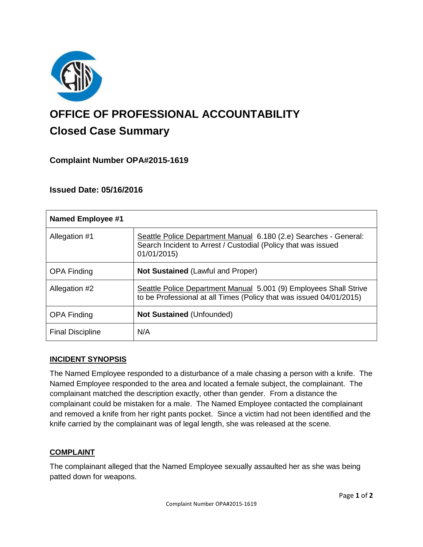

# **OFFICE OF PROFESSIONAL ACCOUNTABILITY Closed Case Summary**

## **Complaint Number OPA#2015-1619**

## **Issued Date: 05/16/2016**

| <b>Named Employee #1</b> |                                                                                                                                                  |
|--------------------------|--------------------------------------------------------------------------------------------------------------------------------------------------|
| Allegation #1            | Seattle Police Department Manual 6.180 (2.e) Searches - General:<br>Search Incident to Arrest / Custodial (Policy that was issued<br>01/01/2015) |
| <b>OPA Finding</b>       | <b>Not Sustained (Lawful and Proper)</b>                                                                                                         |
| Allegation #2            | Seattle Police Department Manual 5.001 (9) Employees Shall Strive<br>to be Professional at all Times (Policy that was issued 04/01/2015)         |
| <b>OPA Finding</b>       | <b>Not Sustained (Unfounded)</b>                                                                                                                 |
| <b>Final Discipline</b>  | N/A                                                                                                                                              |

## **INCIDENT SYNOPSIS**

The Named Employee responded to a disturbance of a male chasing a person with a knife. The Named Employee responded to the area and located a female subject, the complainant. The complainant matched the description exactly, other than gender. From a distance the complainant could be mistaken for a male. The Named Employee contacted the complainant and removed a knife from her right pants pocket. Since a victim had not been identified and the knife carried by the complainant was of legal length, she was released at the scene.

## **COMPLAINT**

The complainant alleged that the Named Employee sexually assaulted her as she was being patted down for weapons.